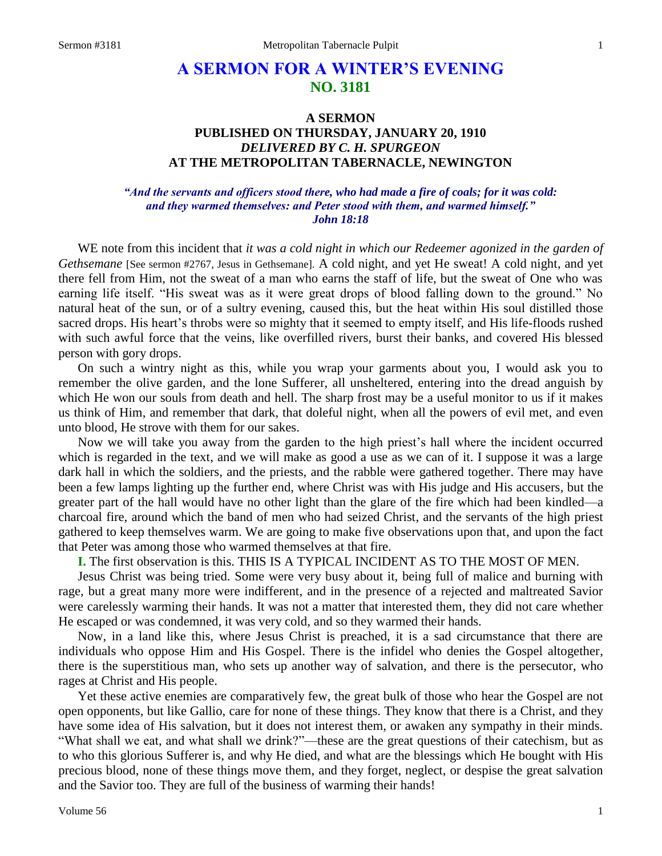# **A SERMON FOR A WINTER'S EVENING NO. 3181**

## **A SERMON PUBLISHED ON THURSDAY, JANUARY 20, 1910** *DELIVERED BY C. H. SPURGEON* **AT THE METROPOLITAN TABERNACLE, NEWINGTON**

### *"And the servants and officers stood there, who had made a fire of coals; for it was cold: and they warmed themselves: and Peter stood with them, and warmed himself." John 18:18*

WE note from this incident that *it was a cold night in which our Redeemer agonized in the garden of Gethsemane* [See sermon #2767, Jesus in Gethsemane]. A cold night, and yet He sweat! A cold night, and yet there fell from Him, not the sweat of a man who earns the staff of life, but the sweat of One who was earning life itself. "His sweat was as it were great drops of blood falling down to the ground." No natural heat of the sun, or of a sultry evening, caused this, but the heat within His soul distilled those sacred drops. His heart's throbs were so mighty that it seemed to empty itself, and His life-floods rushed with such awful force that the veins, like overfilled rivers, burst their banks, and covered His blessed person with gory drops.

On such a wintry night as this, while you wrap your garments about you, I would ask you to remember the olive garden, and the lone Sufferer, all unsheltered, entering into the dread anguish by which He won our souls from death and hell. The sharp frost may be a useful monitor to us if it makes us think of Him, and remember that dark, that doleful night, when all the powers of evil met, and even unto blood, He strove with them for our sakes.

Now we will take you away from the garden to the high priest's hall where the incident occurred which is regarded in the text, and we will make as good a use as we can of it. I suppose it was a large dark hall in which the soldiers, and the priests, and the rabble were gathered together. There may have been a few lamps lighting up the further end, where Christ was with His judge and His accusers, but the greater part of the hall would have no other light than the glare of the fire which had been kindled—a charcoal fire, around which the band of men who had seized Christ, and the servants of the high priest gathered to keep themselves warm. We are going to make five observations upon that, and upon the fact that Peter was among those who warmed themselves at that fire.

**I.** The first observation is this. THIS IS A TYPICAL INCIDENT AS TO THE MOST OF MEN.

Jesus Christ was being tried. Some were very busy about it, being full of malice and burning with rage, but a great many more were indifferent, and in the presence of a rejected and maltreated Savior were carelessly warming their hands. It was not a matter that interested them, they did not care whether He escaped or was condemned, it was very cold, and so they warmed their hands.

Now, in a land like this, where Jesus Christ is preached, it is a sad circumstance that there are individuals who oppose Him and His Gospel. There is the infidel who denies the Gospel altogether, there is the superstitious man, who sets up another way of salvation, and there is the persecutor, who rages at Christ and His people.

Yet these active enemies are comparatively few, the great bulk of those who hear the Gospel are not open opponents, but like Gallio, care for none of these things. They know that there is a Christ, and they have some idea of His salvation, but it does not interest them, or awaken any sympathy in their minds. "What shall we eat, and what shall we drink?"—these are the great questions of their catechism, but as to who this glorious Sufferer is, and why He died, and what are the blessings which He bought with His precious blood, none of these things move them, and they forget, neglect, or despise the great salvation and the Savior too. They are full of the business of warming their hands!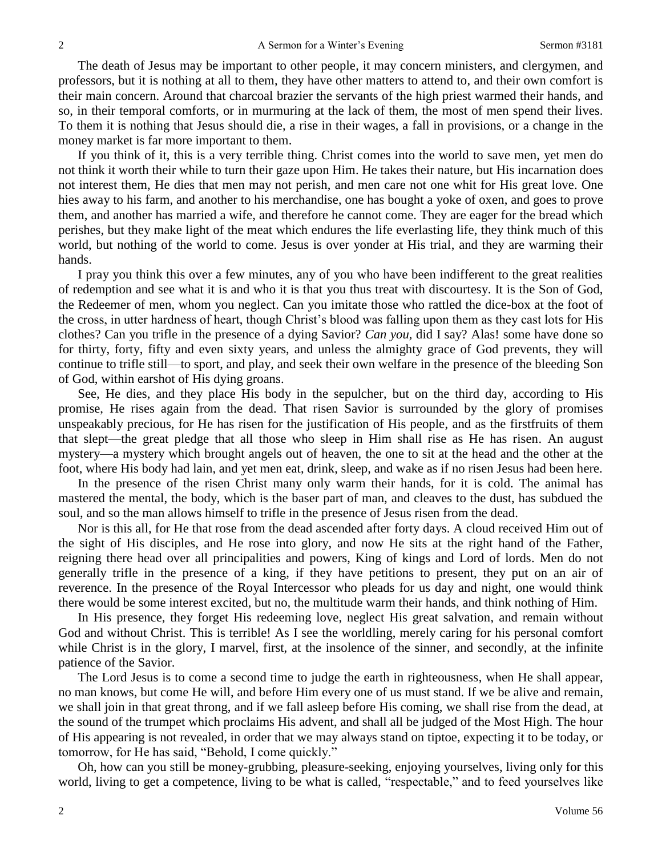The death of Jesus may be important to other people, it may concern ministers, and clergymen, and professors, but it is nothing at all to them, they have other matters to attend to, and their own comfort is their main concern. Around that charcoal brazier the servants of the high priest warmed their hands, and so, in their temporal comforts, or in murmuring at the lack of them, the most of men spend their lives. To them it is nothing that Jesus should die, a rise in their wages, a fall in provisions, or a change in the money market is far more important to them.

If you think of it, this is a very terrible thing. Christ comes into the world to save men, yet men do not think it worth their while to turn their gaze upon Him. He takes their nature, but His incarnation does not interest them, He dies that men may not perish, and men care not one whit for His great love. One hies away to his farm, and another to his merchandise, one has bought a yoke of oxen, and goes to prove them, and another has married a wife, and therefore he cannot come. They are eager for the bread which perishes, but they make light of the meat which endures the life everlasting life, they think much of this world, but nothing of the world to come. Jesus is over yonder at His trial, and they are warming their hands.

I pray you think this over a few minutes, any of you who have been indifferent to the great realities of redemption and see what it is and who it is that you thus treat with discourtesy. It is the Son of God, the Redeemer of men, whom you neglect. Can you imitate those who rattled the dice-box at the foot of the cross, in utter hardness of heart, though Christ's blood was falling upon them as they cast lots for His clothes? Can you trifle in the presence of a dying Savior? *Can you,* did I say? Alas! some have done so for thirty, forty, fifty and even sixty years, and unless the almighty grace of God prevents, they will continue to trifle still—to sport, and play, and seek their own welfare in the presence of the bleeding Son of God, within earshot of His dying groans.

See, He dies, and they place His body in the sepulcher, but on the third day, according to His promise, He rises again from the dead. That risen Savior is surrounded by the glory of promises unspeakably precious, for He has risen for the justification of His people, and as the firstfruits of them that slept—the great pledge that all those who sleep in Him shall rise as He has risen. An august mystery—a mystery which brought angels out of heaven, the one to sit at the head and the other at the foot, where His body had lain, and yet men eat, drink, sleep, and wake as if no risen Jesus had been here.

In the presence of the risen Christ many only warm their hands, for it is cold. The animal has mastered the mental, the body, which is the baser part of man, and cleaves to the dust, has subdued the soul, and so the man allows himself to trifle in the presence of Jesus risen from the dead.

Nor is this all, for He that rose from the dead ascended after forty days. A cloud received Him out of the sight of His disciples, and He rose into glory, and now He sits at the right hand of the Father, reigning there head over all principalities and powers, King of kings and Lord of lords. Men do not generally trifle in the presence of a king, if they have petitions to present, they put on an air of reverence. In the presence of the Royal Intercessor who pleads for us day and night, one would think there would be some interest excited, but no, the multitude warm their hands, and think nothing of Him.

In His presence, they forget His redeeming love, neglect His great salvation, and remain without God and without Christ. This is terrible! As I see the worldling, merely caring for his personal comfort while Christ is in the glory, I marvel, first, at the insolence of the sinner, and secondly, at the infinite patience of the Savior.

The Lord Jesus is to come a second time to judge the earth in righteousness, when He shall appear, no man knows, but come He will, and before Him every one of us must stand. If we be alive and remain, we shall join in that great throng, and if we fall asleep before His coming, we shall rise from the dead, at the sound of the trumpet which proclaims His advent, and shall all be judged of the Most High. The hour of His appearing is not revealed, in order that we may always stand on tiptoe, expecting it to be today, or tomorrow, for He has said, "Behold, I come quickly."

Oh, how can you still be money-grubbing, pleasure-seeking, enjoying yourselves, living only for this world, living to get a competence, living to be what is called, "respectable," and to feed yourselves like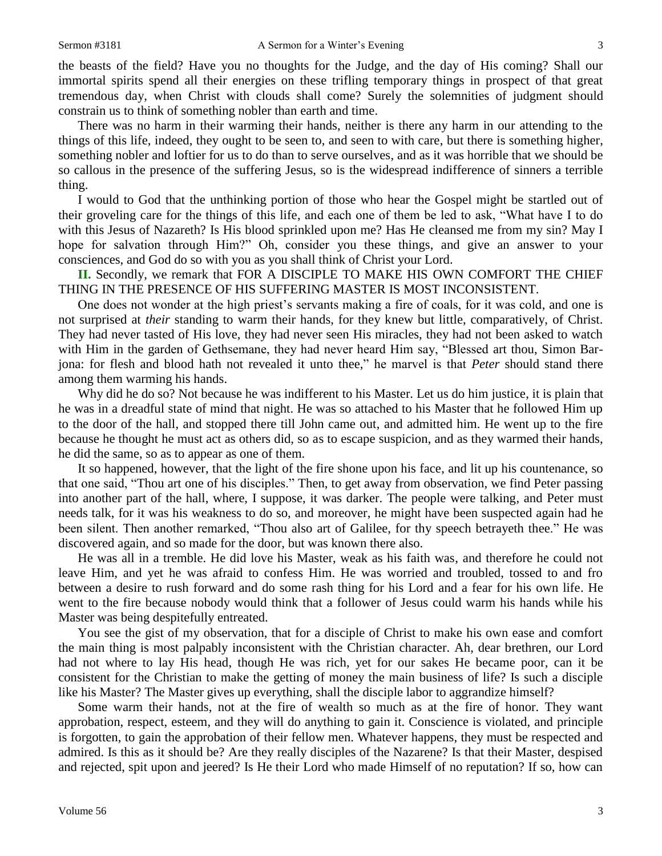the beasts of the field? Have you no thoughts for the Judge, and the day of His coming? Shall our immortal spirits spend all their energies on these trifling temporary things in prospect of that great tremendous day, when Christ with clouds shall come? Surely the solemnities of judgment should constrain us to think of something nobler than earth and time.

There was no harm in their warming their hands, neither is there any harm in our attending to the things of this life, indeed, they ought to be seen to, and seen to with care, but there is something higher, something nobler and loftier for us to do than to serve ourselves, and as it was horrible that we should be so callous in the presence of the suffering Jesus, so is the widespread indifference of sinners a terrible thing.

I would to God that the unthinking portion of those who hear the Gospel might be startled out of their groveling care for the things of this life, and each one of them be led to ask, "What have I to do with this Jesus of Nazareth? Is His blood sprinkled upon me? Has He cleansed me from my sin? May I hope for salvation through Him?" Oh, consider you these things, and give an answer to your consciences, and God do so with you as you shall think of Christ your Lord.

**II.** Secondly, we remark that FOR A DISCIPLE TO MAKE HIS OWN COMFORT THE CHIEF THING IN THE PRESENCE OF HIS SUFFERING MASTER IS MOST INCONSISTENT.

One does not wonder at the high priest's servants making a fire of coals, for it was cold, and one is not surprised at *their* standing to warm their hands, for they knew but little, comparatively, of Christ. They had never tasted of His love, they had never seen His miracles, they had not been asked to watch with Him in the garden of Gethsemane, they had never heard Him say, "Blessed art thou, Simon Barjona: for flesh and blood hath not revealed it unto thee," he marvel is that *Peter* should stand there among them warming his hands.

Why did he do so? Not because he was indifferent to his Master. Let us do him justice, it is plain that he was in a dreadful state of mind that night. He was so attached to his Master that he followed Him up to the door of the hall, and stopped there till John came out, and admitted him. He went up to the fire because he thought he must act as others did, so as to escape suspicion, and as they warmed their hands, he did the same, so as to appear as one of them.

It so happened, however, that the light of the fire shone upon his face, and lit up his countenance, so that one said, "Thou art one of his disciples." Then, to get away from observation, we find Peter passing into another part of the hall, where, I suppose, it was darker. The people were talking, and Peter must needs talk, for it was his weakness to do so, and moreover, he might have been suspected again had he been silent. Then another remarked, "Thou also art of Galilee, for thy speech betrayeth thee." He was discovered again, and so made for the door, but was known there also.

He was all in a tremble. He did love his Master, weak as his faith was, and therefore he could not leave Him, and yet he was afraid to confess Him. He was worried and troubled, tossed to and fro between a desire to rush forward and do some rash thing for his Lord and a fear for his own life. He went to the fire because nobody would think that a follower of Jesus could warm his hands while his Master was being despitefully entreated.

You see the gist of my observation, that for a disciple of Christ to make his own ease and comfort the main thing is most palpably inconsistent with the Christian character. Ah, dear brethren, our Lord had not where to lay His head, though He was rich, yet for our sakes He became poor, can it be consistent for the Christian to make the getting of money the main business of life? Is such a disciple like his Master? The Master gives up everything, shall the disciple labor to aggrandize himself?

Some warm their hands, not at the fire of wealth so much as at the fire of honor. They want approbation, respect, esteem, and they will do anything to gain it. Conscience is violated, and principle is forgotten, to gain the approbation of their fellow men. Whatever happens, they must be respected and admired. Is this as it should be? Are they really disciples of the Nazarene? Is that their Master, despised and rejected, spit upon and jeered? Is He their Lord who made Himself of no reputation? If so, how can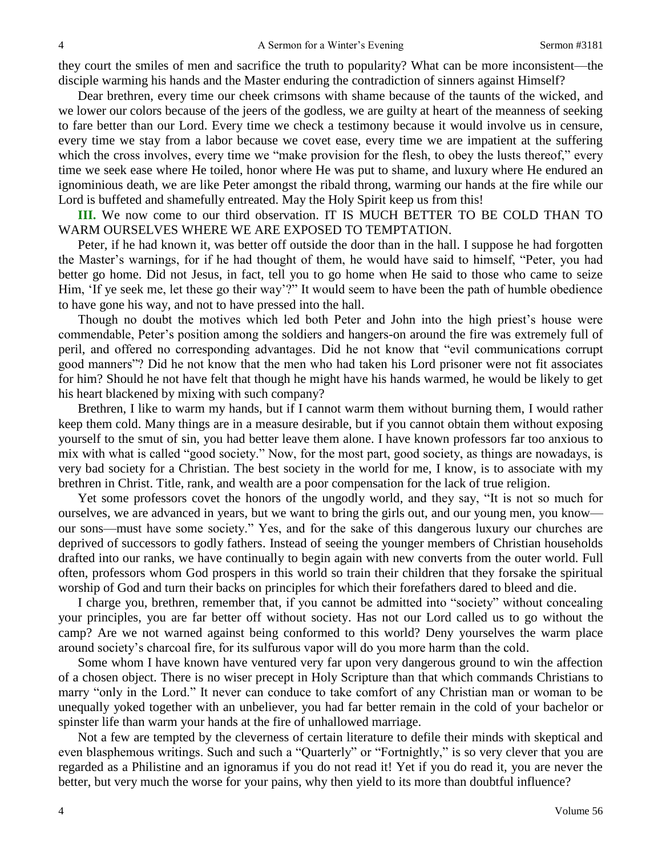they court the smiles of men and sacrifice the truth to popularity? What can be more inconsistent—the disciple warming his hands and the Master enduring the contradiction of sinners against Himself?

Dear brethren, every time our cheek crimsons with shame because of the taunts of the wicked, and we lower our colors because of the jeers of the godless, we are guilty at heart of the meanness of seeking to fare better than our Lord. Every time we check a testimony because it would involve us in censure, every time we stay from a labor because we covet ease, every time we are impatient at the suffering which the cross involves, every time we "make provision for the flesh, to obey the lusts thereof," every time we seek ease where He toiled, honor where He was put to shame, and luxury where He endured an ignominious death, we are like Peter amongst the ribald throng, warming our hands at the fire while our Lord is buffeted and shamefully entreated. May the Holy Spirit keep us from this!

**III.** We now come to our third observation. IT IS MUCH BETTER TO BE COLD THAN TO WARM OURSELVES WHERE WE ARE EXPOSED TO TEMPTATION.

Peter, if he had known it, was better off outside the door than in the hall. I suppose he had forgotten the Master's warnings, for if he had thought of them, he would have said to himself, "Peter, you had better go home. Did not Jesus, in fact, tell you to go home when He said to those who came to seize Him, 'If ye seek me, let these go their way'?" It would seem to have been the path of humble obedience to have gone his way, and not to have pressed into the hall.

Though no doubt the motives which led both Peter and John into the high priest's house were commendable, Peter's position among the soldiers and hangers-on around the fire was extremely full of peril, and offered no corresponding advantages. Did he not know that "evil communications corrupt good manners"? Did he not know that the men who had taken his Lord prisoner were not fit associates for him? Should he not have felt that though he might have his hands warmed, he would be likely to get his heart blackened by mixing with such company?

Brethren, I like to warm my hands, but if I cannot warm them without burning them, I would rather keep them cold. Many things are in a measure desirable, but if you cannot obtain them without exposing yourself to the smut of sin, you had better leave them alone. I have known professors far too anxious to mix with what is called "good society." Now, for the most part, good society, as things are nowadays, is very bad society for a Christian. The best society in the world for me, I know, is to associate with my brethren in Christ. Title, rank, and wealth are a poor compensation for the lack of true religion.

Yet some professors covet the honors of the ungodly world, and they say, "It is not so much for ourselves, we are advanced in years, but we want to bring the girls out, and our young men, you know our sons—must have some society." Yes, and for the sake of this dangerous luxury our churches are deprived of successors to godly fathers. Instead of seeing the younger members of Christian households drafted into our ranks, we have continually to begin again with new converts from the outer world. Full often, professors whom God prospers in this world so train their children that they forsake the spiritual worship of God and turn their backs on principles for which their forefathers dared to bleed and die.

I charge you, brethren, remember that, if you cannot be admitted into "society" without concealing your principles, you are far better off without society. Has not our Lord called us to go without the camp? Are we not warned against being conformed to this world? Deny yourselves the warm place around society's charcoal fire, for its sulfurous vapor will do you more harm than the cold.

Some whom I have known have ventured very far upon very dangerous ground to win the affection of a chosen object. There is no wiser precept in Holy Scripture than that which commands Christians to marry "only in the Lord." It never can conduce to take comfort of any Christian man or woman to be unequally yoked together with an unbeliever, you had far better remain in the cold of your bachelor or spinster life than warm your hands at the fire of unhallowed marriage.

Not a few are tempted by the cleverness of certain literature to defile their minds with skeptical and even blasphemous writings. Such and such a "Quarterly" or "Fortnightly," is so very clever that you are regarded as a Philistine and an ignoramus if you do not read it! Yet if you do read it, you are never the better, but very much the worse for your pains, why then yield to its more than doubtful influence?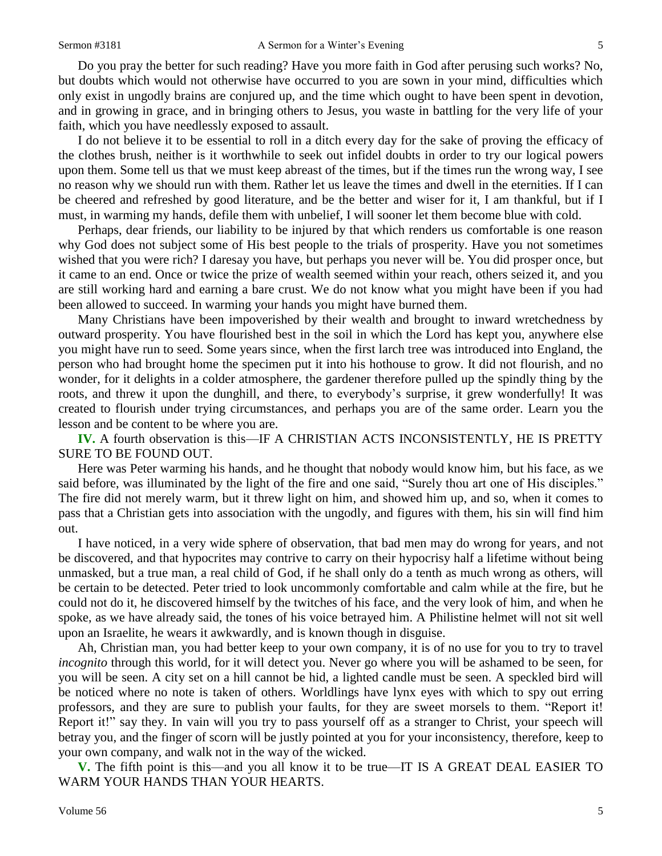Do you pray the better for such reading? Have you more faith in God after perusing such works? No, but doubts which would not otherwise have occurred to you are sown in your mind, difficulties which only exist in ungodly brains are conjured up, and the time which ought to have been spent in devotion, and in growing in grace, and in bringing others to Jesus, you waste in battling for the very life of your faith, which you have needlessly exposed to assault.

I do not believe it to be essential to roll in a ditch every day for the sake of proving the efficacy of the clothes brush, neither is it worthwhile to seek out infidel doubts in order to try our logical powers upon them. Some tell us that we must keep abreast of the times, but if the times run the wrong way, I see no reason why we should run with them. Rather let us leave the times and dwell in the eternities. If I can be cheered and refreshed by good literature, and be the better and wiser for it, I am thankful, but if I must, in warming my hands, defile them with unbelief, I will sooner let them become blue with cold.

Perhaps, dear friends, our liability to be injured by that which renders us comfortable is one reason why God does not subject some of His best people to the trials of prosperity. Have you not sometimes wished that you were rich? I daresay you have, but perhaps you never will be. You did prosper once, but it came to an end. Once or twice the prize of wealth seemed within your reach, others seized it, and you are still working hard and earning a bare crust. We do not know what you might have been if you had been allowed to succeed. In warming your hands you might have burned them.

Many Christians have been impoverished by their wealth and brought to inward wretchedness by outward prosperity. You have flourished best in the soil in which the Lord has kept you, anywhere else you might have run to seed. Some years since, when the first larch tree was introduced into England, the person who had brought home the specimen put it into his hothouse to grow. It did not flourish, and no wonder, for it delights in a colder atmosphere, the gardener therefore pulled up the spindly thing by the roots, and threw it upon the dunghill, and there, to everybody's surprise, it grew wonderfully! It was created to flourish under trying circumstances, and perhaps you are of the same order. Learn you the lesson and be content to be where you are.

**IV.** A fourth observation is this—IF A CHRISTIAN ACTS INCONSISTENTLY, HE IS PRETTY SURE TO BE FOUND OUT.

Here was Peter warming his hands, and he thought that nobody would know him, but his face, as we said before, was illuminated by the light of the fire and one said, "Surely thou art one of His disciples." The fire did not merely warm, but it threw light on him, and showed him up, and so, when it comes to pass that a Christian gets into association with the ungodly, and figures with them, his sin will find him out.

I have noticed, in a very wide sphere of observation, that bad men may do wrong for years, and not be discovered, and that hypocrites may contrive to carry on their hypocrisy half a lifetime without being unmasked, but a true man, a real child of God, if he shall only do a tenth as much wrong as others, will be certain to be detected. Peter tried to look uncommonly comfortable and calm while at the fire, but he could not do it, he discovered himself by the twitches of his face, and the very look of him, and when he spoke, as we have already said, the tones of his voice betrayed him. A Philistine helmet will not sit well upon an Israelite, he wears it awkwardly, and is known though in disguise.

Ah, Christian man, you had better keep to your own company, it is of no use for you to try to travel *incognito* through this world, for it will detect you. Never go where you will be ashamed to be seen, for you will be seen. A city set on a hill cannot be hid, a lighted candle must be seen. A speckled bird will be noticed where no note is taken of others. Worldlings have lynx eyes with which to spy out erring professors, and they are sure to publish your faults, for they are sweet morsels to them. "Report it! Report it!" say they. In vain will you try to pass yourself off as a stranger to Christ, your speech will betray you, and the finger of scorn will be justly pointed at you for your inconsistency, therefore, keep to your own company, and walk not in the way of the wicked.

**V.** The fifth point is this—and you all know it to be true—IT IS A GREAT DEAL EASIER TO WARM YOUR HANDS THAN YOUR HEARTS.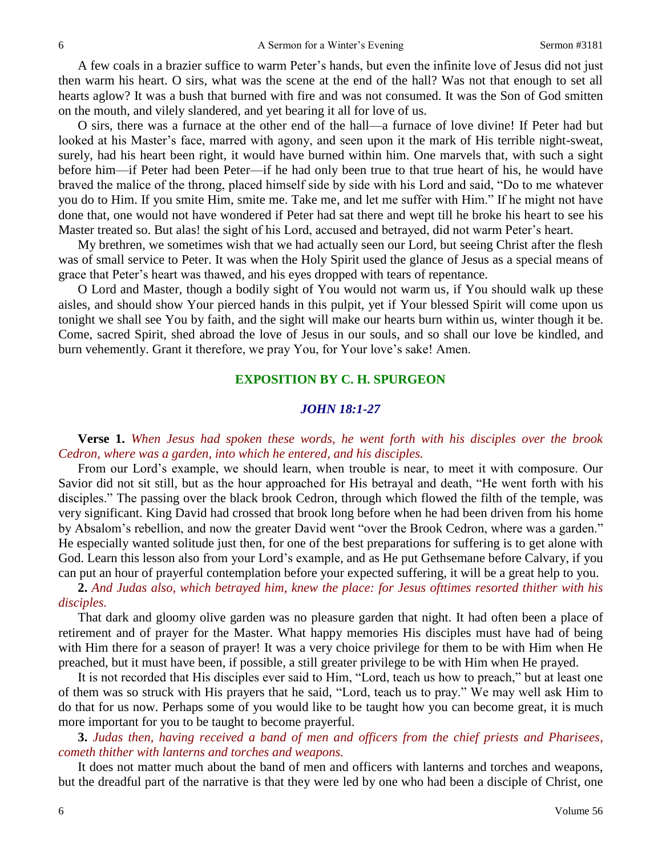A few coals in a brazier suffice to warm Peter's hands, but even the infinite love of Jesus did not just then warm his heart. O sirs, what was the scene at the end of the hall? Was not that enough to set all hearts aglow? It was a bush that burned with fire and was not consumed. It was the Son of God smitten on the mouth, and vilely slandered, and yet bearing it all for love of us.

O sirs, there was a furnace at the other end of the hall—a furnace of love divine! If Peter had but looked at his Master's face, marred with agony, and seen upon it the mark of His terrible night-sweat, surely, had his heart been right, it would have burned within him. One marvels that, with such a sight before him—if Peter had been Peter—if he had only been true to that true heart of his, he would have braved the malice of the throng, placed himself side by side with his Lord and said, "Do to me whatever you do to Him. If you smite Him, smite me. Take me, and let me suffer with Him." If he might not have done that, one would not have wondered if Peter had sat there and wept till he broke his heart to see his Master treated so. But alas! the sight of his Lord, accused and betrayed, did not warm Peter's heart.

My brethren, we sometimes wish that we had actually seen our Lord, but seeing Christ after the flesh was of small service to Peter. It was when the Holy Spirit used the glance of Jesus as a special means of grace that Peter's heart was thawed, and his eyes dropped with tears of repentance.

O Lord and Master, though a bodily sight of You would not warm us, if You should walk up these aisles, and should show Your pierced hands in this pulpit, yet if Your blessed Spirit will come upon us tonight we shall see You by faith, and the sight will make our hearts burn within us, winter though it be. Come, sacred Spirit, shed abroad the love of Jesus in our souls, and so shall our love be kindled, and burn vehemently. Grant it therefore, we pray You, for Your love's sake! Amen.

### **EXPOSITION BY C. H. SPURGEON**

#### *JOHN 18:1-27*

**Verse 1.** *When Jesus had spoken these words, he went forth with his disciples over the brook Cedron, where was a garden, into which he entered, and his disciples.*

From our Lord's example, we should learn, when trouble is near, to meet it with composure. Our Savior did not sit still, but as the hour approached for His betrayal and death, "He went forth with his disciples." The passing over the black brook Cedron, through which flowed the filth of the temple, was very significant. King David had crossed that brook long before when he had been driven from his home by Absalom's rebellion, and now the greater David went "over the Brook Cedron, where was a garden." He especially wanted solitude just then, for one of the best preparations for suffering is to get alone with God. Learn this lesson also from your Lord's example, and as He put Gethsemane before Calvary, if you can put an hour of prayerful contemplation before your expected suffering, it will be a great help to you.

**2.** *And Judas also, which betrayed him, knew the place: for Jesus ofttimes resorted thither with his disciples.*

That dark and gloomy olive garden was no pleasure garden that night. It had often been a place of retirement and of prayer for the Master. What happy memories His disciples must have had of being with Him there for a season of prayer! It was a very choice privilege for them to be with Him when He preached, but it must have been, if possible, a still greater privilege to be with Him when He prayed.

It is not recorded that His disciples ever said to Him, "Lord, teach us how to preach," but at least one of them was so struck with His prayers that he said, "Lord, teach us to pray." We may well ask Him to do that for us now. Perhaps some of you would like to be taught how you can become great, it is much more important for you to be taught to become prayerful.

**3.** *Judas then, having received a band of men and officers from the chief priests and Pharisees, cometh thither with lanterns and torches and weapons.*

It does not matter much about the band of men and officers with lanterns and torches and weapons, but the dreadful part of the narrative is that they were led by one who had been a disciple of Christ, one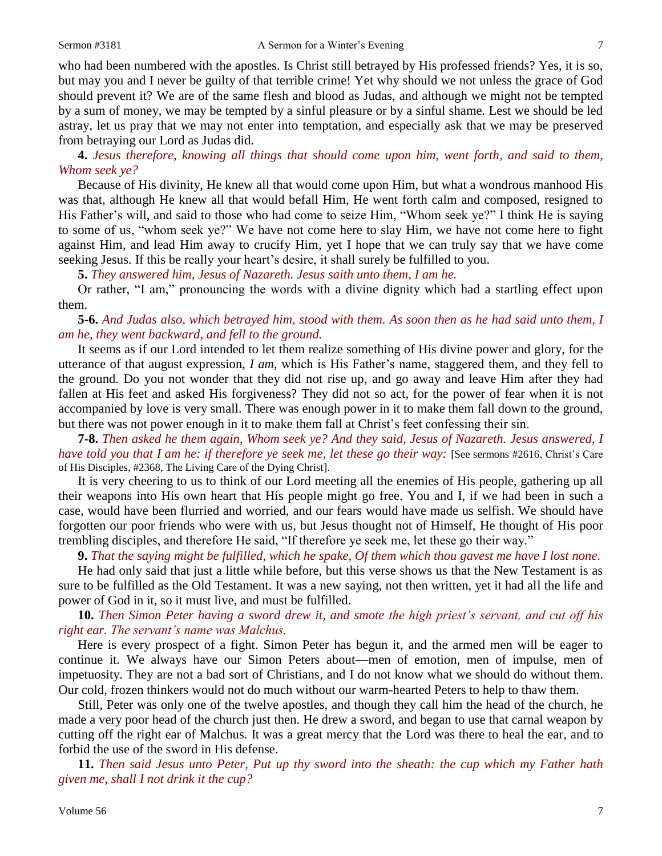who had been numbered with the apostles. Is Christ still betrayed by His professed friends? Yes, it is so, but may you and I never be guilty of that terrible crime! Yet why should we not unless the grace of God should prevent it? We are of the same flesh and blood as Judas, and although we might not be tempted by a sum of money, we may be tempted by a sinful pleasure or by a sinful shame. Lest we should be led astray, let us pray that we may not enter into temptation, and especially ask that we may be preserved from betraying our Lord as Judas did.

**4.** *Jesus therefore, knowing all things that should come upon him, went forth, and said to them, Whom seek ye?*

Because of His divinity, He knew all that would come upon Him, but what a wondrous manhood His was that, although He knew all that would befall Him, He went forth calm and composed, resigned to His Father's will, and said to those who had come to seize Him, "Whom seek ye?" I think He is saying to some of us, "whom seek ye?" We have not come here to slay Him, we have not come here to fight against Him, and lead Him away to crucify Him, yet I hope that we can truly say that we have come seeking Jesus. If this be really your heart's desire, it shall surely be fulfilled to you.

**5.** *They answered him, Jesus of Nazareth. Jesus saith unto them, I am he.*

Or rather, "I am," pronouncing the words with a divine dignity which had a startling effect upon them.

**5-6.** *And Judas also, which betrayed him, stood with them. As soon then as he had said unto them, I am he, they went backward, and fell to the ground.*

It seems as if our Lord intended to let them realize something of His divine power and glory, for the utterance of that august expression, *I am,* which is His Father's name, staggered them, and they fell to the ground. Do you not wonder that they did not rise up, and go away and leave Him after they had fallen at His feet and asked His forgiveness? They did not so act, for the power of fear when it is not accompanied by love is very small. There was enough power in it to make them fall down to the ground, but there was not power enough in it to make them fall at Christ's feet confessing their sin.

**7-8.** *Then asked he them again, Whom seek ye? And they said, Jesus of Nazareth. Jesus answered, I have told you that I am he: if therefore ye seek me, let these go their way:* [See sermons #2616, Christ's Care of His Disciples, #2368, The Living Care of the Dying Christ].

It is very cheering to us to think of our Lord meeting all the enemies of His people, gathering up all their weapons into His own heart that His people might go free. You and I, if we had been in such a case, would have been flurried and worried, and our fears would have made us selfish. We should have forgotten our poor friends who were with us, but Jesus thought not of Himself, He thought of His poor trembling disciples, and therefore He said, "If therefore ye seek me, let these go their way."

**9.** *That the saying might be fulfilled, which he spake, Of them which thou gavest me have I lost none.*

He had only said that just a little while before, but this verse shows us that the New Testament is as sure to be fulfilled as the Old Testament. It was a new saying, not then written, yet it had all the life and power of God in it, so it must live, and must be fulfilled.

**10.** *Then Simon Peter having a sword drew it, and smote the high priest's servant, and cut off his right ear. The servant's name was Malchus.*

Here is every prospect of a fight. Simon Peter has begun it, and the armed men will be eager to continue it. We always have our Simon Peters about—men of emotion, men of impulse, men of impetuosity. They are not a bad sort of Christians, and I do not know what we should do without them. Our cold, frozen thinkers would not do much without our warm-hearted Peters to help to thaw them.

Still, Peter was only one of the twelve apostles, and though they call him the head of the church, he made a very poor head of the church just then. He drew a sword, and began to use that carnal weapon by cutting off the right ear of Malchus. It was a great mercy that the Lord was there to heal the ear, and to forbid the use of the sword in His defense.

**11.** *Then said Jesus unto Peter, Put up thy sword into the sheath: the cup which my Father hath given me, shall I not drink it the cup?*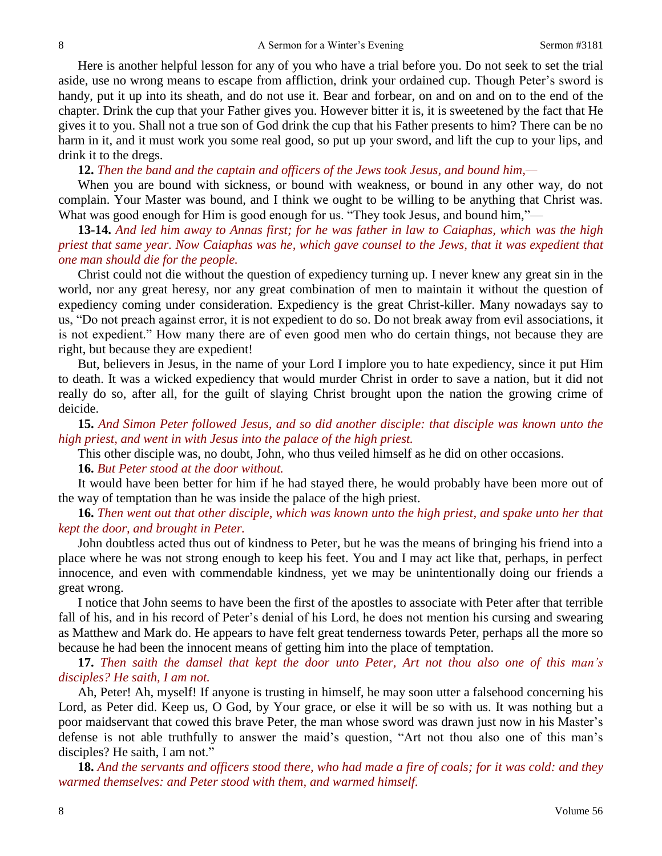Here is another helpful lesson for any of you who have a trial before you. Do not seek to set the trial aside, use no wrong means to escape from affliction, drink your ordained cup. Though Peter's sword is handy, put it up into its sheath, and do not use it. Bear and forbear, on and on and on to the end of the chapter. Drink the cup that your Father gives you. However bitter it is, it is sweetened by the fact that He gives it to you. Shall not a true son of God drink the cup that his Father presents to him? There can be no harm in it, and it must work you some real good, so put up your sword, and lift the cup to your lips, and drink it to the dregs.

**12.** *Then the band and the captain and officers of the Jews took Jesus, and bound him,—*

When you are bound with sickness, or bound with weakness, or bound in any other way, do not complain. Your Master was bound, and I think we ought to be willing to be anything that Christ was. What was good enough for Him is good enough for us. "They took Jesus, and bound him,"

**13-14.** *And led him away to Annas first; for he was father in law to Caiaphas, which was the high priest that same year. Now Caiaphas was he, which gave counsel to the Jews, that it was expedient that one man should die for the people.*

Christ could not die without the question of expediency turning up. I never knew any great sin in the world, nor any great heresy, nor any great combination of men to maintain it without the question of expediency coming under consideration. Expediency is the great Christ-killer. Many nowadays say to us, "Do not preach against error, it is not expedient to do so. Do not break away from evil associations, it is not expedient." How many there are of even good men who do certain things, not because they are right, but because they are expedient!

But, believers in Jesus, in the name of your Lord I implore you to hate expediency, since it put Him to death. It was a wicked expediency that would murder Christ in order to save a nation, but it did not really do so, after all, for the guilt of slaying Christ brought upon the nation the growing crime of deicide.

**15.** *And Simon Peter followed Jesus, and so did another disciple: that disciple was known unto the high priest, and went in with Jesus into the palace of the high priest.*

This other disciple was, no doubt, John, who thus veiled himself as he did on other occasions.

#### **16.** *But Peter stood at the door without.*

It would have been better for him if he had stayed there, he would probably have been more out of the way of temptation than he was inside the palace of the high priest.

**16.** *Then went out that other disciple, which was known unto the high priest, and spake unto her that kept the door, and brought in Peter.*

John doubtless acted thus out of kindness to Peter, but he was the means of bringing his friend into a place where he was not strong enough to keep his feet. You and I may act like that, perhaps, in perfect innocence, and even with commendable kindness, yet we may be unintentionally doing our friends a great wrong.

I notice that John seems to have been the first of the apostles to associate with Peter after that terrible fall of his, and in his record of Peter's denial of his Lord, he does not mention his cursing and swearing as Matthew and Mark do. He appears to have felt great tenderness towards Peter, perhaps all the more so because he had been the innocent means of getting him into the place of temptation.

**17.** *Then saith the damsel that kept the door unto Peter, Art not thou also one of this man's disciples? He saith, I am not.*

Ah, Peter! Ah, myself! If anyone is trusting in himself, he may soon utter a falsehood concerning his Lord, as Peter did. Keep us, O God, by Your grace, or else it will be so with us. It was nothing but a poor maidservant that cowed this brave Peter, the man whose sword was drawn just now in his Master's defense is not able truthfully to answer the maid's question, "Art not thou also one of this man's disciples? He saith, I am not."

**18.** *And the servants and officers stood there, who had made a fire of coals; for it was cold: and they warmed themselves: and Peter stood with them, and warmed himself.*